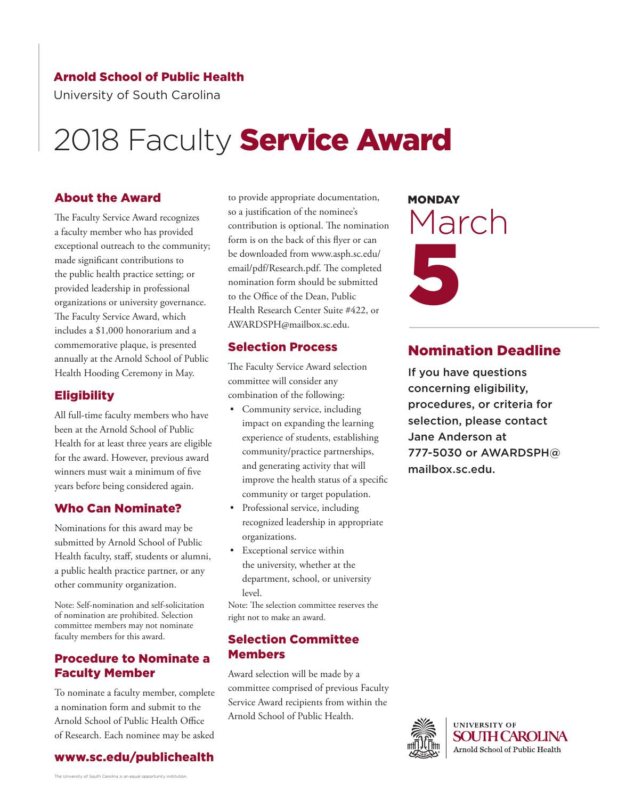#### Arnold School of Public Health

University of South Carolina

## 2018 Faculty Service Award

#### About the Award

The Faculty Service Award recognizes a faculty member who has provided exceptional outreach to the community; made significant contributions to the public health practice setting; or provided leadership in professional organizations or university governance. The Faculty Service Award, which includes a \$1,000 honorarium and a commemorative plaque, is presented annually at the Arnold School of Public Health Hooding Ceremony in May.

#### Eligibility

All full-time faculty members who have been at the Arnold School of Public Health for at least three years are eligible for the award. However, previous award winners must wait a minimum of five years before being considered again.

#### Who Can Nominate?

Nominations for this award may be submitted by Arnold School of Public Health faculty, staff, students or alumni, a public health practice partner, or any other community organization.

Note: Self-nomination and self-solicitation of nomination are prohibited. Selection committee members may not nominate faculty members for this award.

#### Procedure to Nominate a Faculty Member

To nominate a faculty member, complete a nomination form and submit to the Arnold School of Public Health Office of Research. Each nominee may be asked



to provide appropriate documentation, so a justification of the nominee's contribution is optional. The nomination form is on the back of this flyer or can be downloaded from www.asph.sc.edu/ email/pdf/Research.pdf. The completed nomination form should be submitted to the Office of the Dean, Public Health Research Center Suite #422, or AWARDSPH@mailbox.sc.edu.

#### Selection Process

The Faculty Service Award selection committee will consider any combination of the following:

- Community service, including impact on expanding the learning experience of students, establishing community/practice partnerships, and generating activity that will improve the health status of a specific community or target population.
- Professional service, including recognized leadership in appropriate organizations.
- Exceptional service within the university, whether at the department, school, or university  $|_{\text{evo}}|$ .

Note: The selection committee reserves the right not to make an award.

#### Selection Committee **Members**

Award selection will be made by a committee comprised of previous Faculty Service Award recipients from within the Arnold School of Public Health.

# **MONDAY** March 5

#### Nomination Deadline

If you have questions concerning eligibility, procedures, or criteria for selection, please contact Jane Anderson at [777-5030 or AWARDSPH@](mailto: AWARDSPH@mailbox.sc.edu?subject=Call for Nominations 2018 Faculty Awards) mailbox.sc.edu.